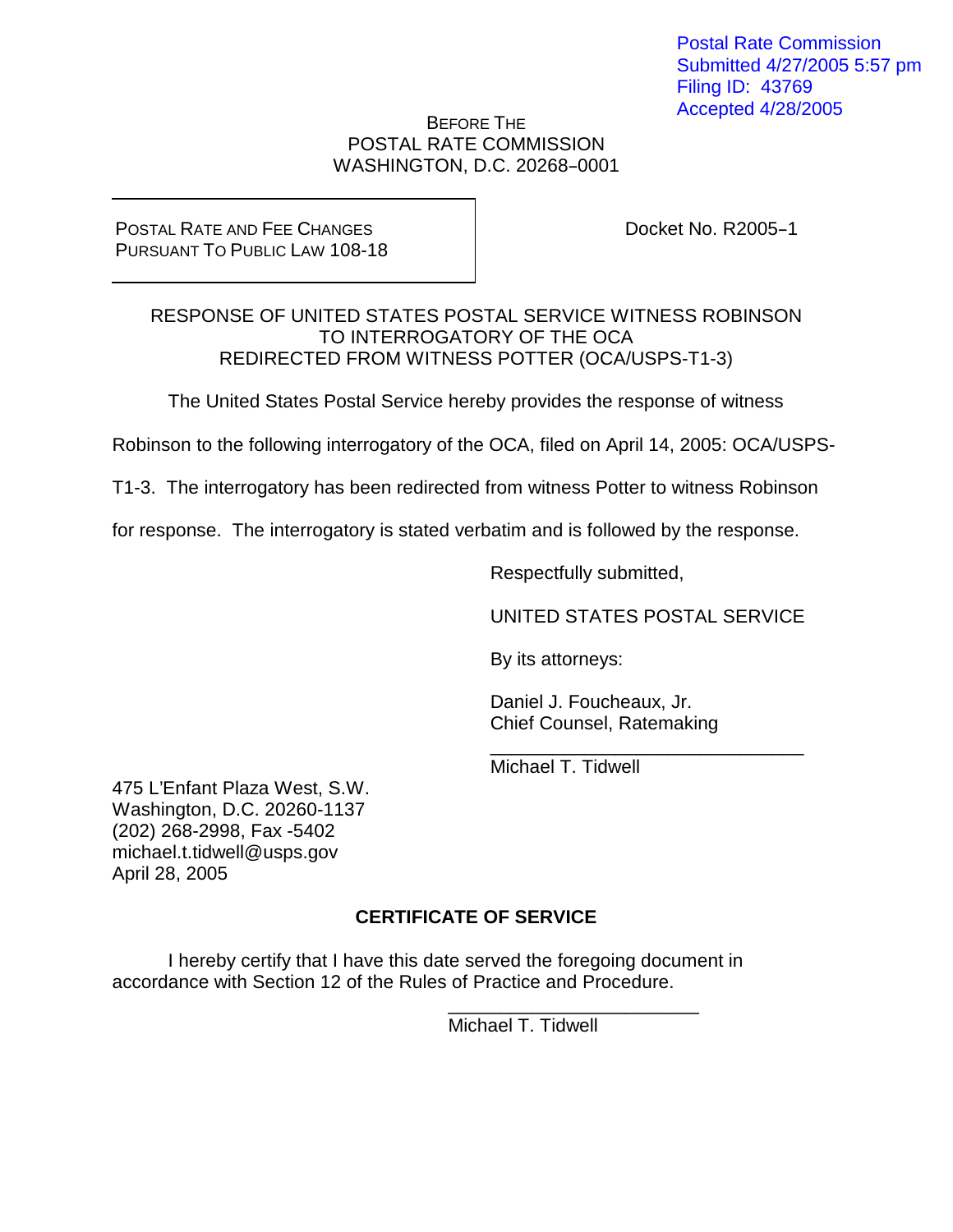Postal Rate Commission Submitted 4/27/2005 5:57 pm Filing ID: 43769 Accepted 4/28/2005

#### BEFORE THE POSTAL RATE COMMISSION WASHINGTON, D.C. 20268-0001

### POSTAL RATE AND FEE CHANGES PURSUANT TO PUBLIC LAW 108-18

Docket No.  $R2005-1$ 

## RESPONSE OF UNITED STATES POSTAL SERVICE WITNESS ROBINSON TO INTERROGATORY OF THE OCA REDIRECTED FROM WITNESS POTTER (OCA/USPS-T1-3)

The United States Postal Service hereby provides the response of witness

Robinson to the following interrogatory of the OCA, filed on April 14, 2005: OCA/USPS-

T1-3. The interrogatory has been redirected from witness Potter to witness Robinson

for response. The interrogatory is stated verbatim and is followed by the response.

Respectfully submitted,

UNITED STATES POSTAL SERVICE

\_\_\_\_\_\_\_\_\_\_\_\_\_\_\_\_\_\_\_\_\_\_\_\_\_\_\_\_\_\_

By its attorneys:

Daniel J. Foucheaux, Jr. Chief Counsel, Ratemaking

Michael T. Tidwell

475 L'Enfant Plaza West, S.W. Washington, D.C. 20260-1137 (202) 268-2998, Fax -5402 michael.t.tidwell@usps.gov April 28, 2005

# **CERTIFICATE OF SERVICE**

I hereby certify that I have this date served the foregoing document in accordance with Section 12 of the Rules of Practice and Procedure.

> \_\_\_\_\_\_\_\_\_\_\_\_\_\_\_\_\_\_\_\_\_\_\_\_ Michael T. Tidwell